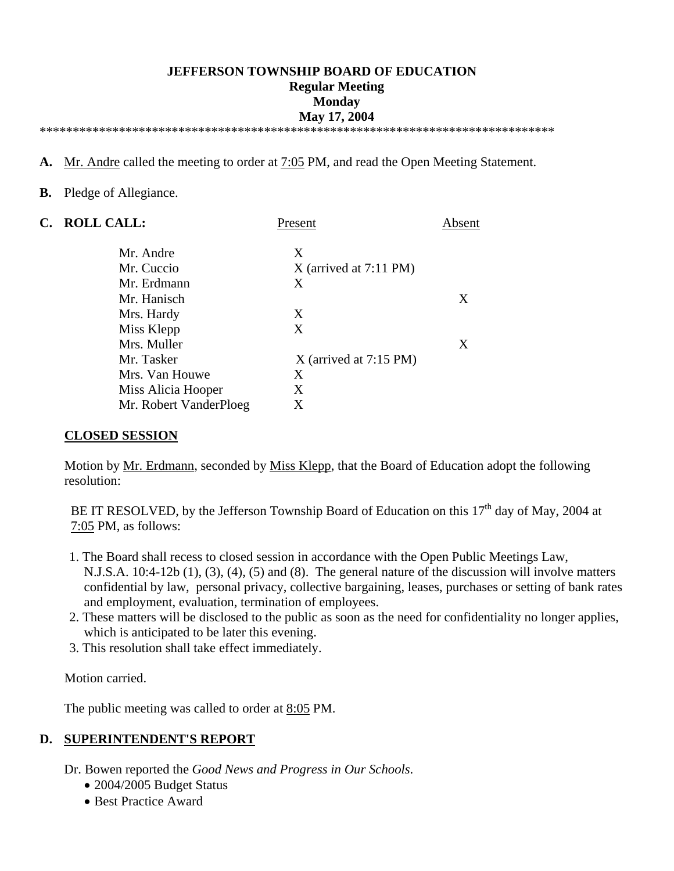### **JEFFERSON TOWNSHIP BOARD OF EDUCATION Regular Meeting Monday May 17, 2004**  \*\*\*\*\*\*\*\*\*\*\*\*\*\*\*\*\*\*\*\*\*\*\*\*\*\*\*\*\*\*\*\*\*\*\*\*\*\*\*\*\*\*\*\*\*\*\*\*\*\*\*\*\*\*\*\*\*\*\*\*\*\*\*\*\*\*\*\*\*\*\*\*\*\*\*\*\*\*

**A.** Mr. Andre called the meeting to order at 7:05 PM, and read the Open Meeting Statement.

### **B.** Pledge of Allegiance.

| C. | <b>ROLL CALL:</b>      | Present                  | Absent |
|----|------------------------|--------------------------|--------|
|    | Mr. Andre              | X                        |        |
|    | Mr. Cuccio             | $X$ (arrived at 7:11 PM) |        |
|    | Mr. Erdmann            | X                        |        |
|    | Mr. Hanisch            |                          | X      |
|    | Mrs. Hardy             | X                        |        |
|    | Miss Klepp             | X                        |        |
|    | Mrs. Muller            |                          | X      |
|    | Mr. Tasker             | $X$ (arrived at 7:15 PM) |        |
|    | Mrs. Van Houwe         | X                        |        |
|    | Miss Alicia Hooper     | X                        |        |
|    | Mr. Robert VanderPloeg | X                        |        |

### **CLOSED SESSION**

Motion by Mr. Erdmann, seconded by Miss Klepp, that the Board of Education adopt the following resolution:

BE IT RESOLVED, by the Jefferson Township Board of Education on this  $17<sup>th</sup>$  day of May, 2004 at 7:05 PM, as follows:

- 1. The Board shall recess to closed session in accordance with the Open Public Meetings Law, N.J.S.A. 10:4-12b (1), (3), (4), (5) and (8). The general nature of the discussion will involve matters confidential by law, personal privacy, collective bargaining, leases, purchases or setting of bank rates and employment, evaluation, termination of employees.
- 2. These matters will be disclosed to the public as soon as the need for confidentiality no longer applies, which is anticipated to be later this evening.
- 3. This resolution shall take effect immediately.

Motion carried.

The public meeting was called to order at 8:05 PM.

### **D. SUPERINTENDENT'S REPORT**

Dr. Bowen reported the *Good News and Progress in Our Schools*.

- 2004/2005 Budget Status
- Best Practice Award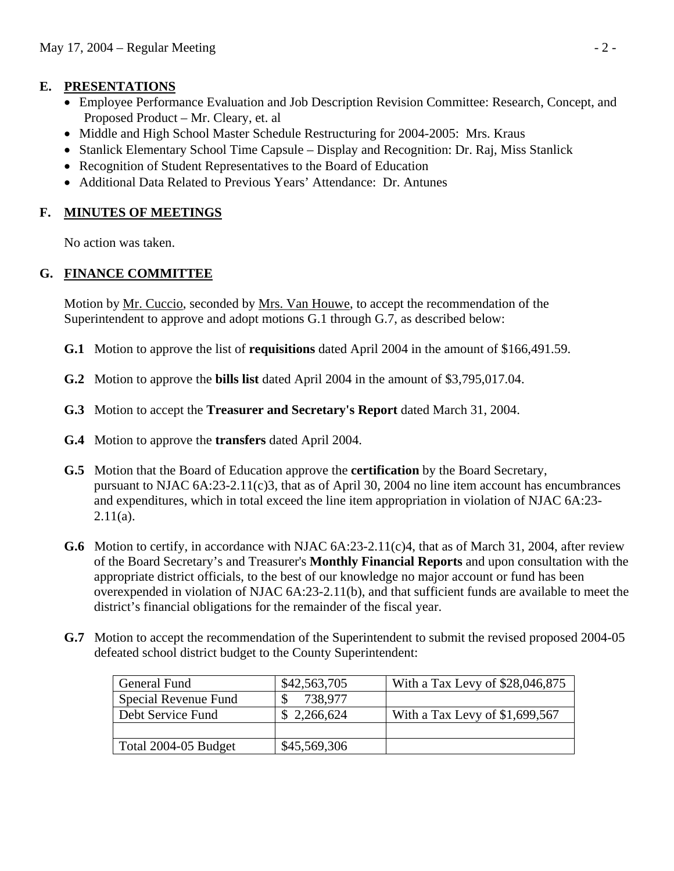# **E. PRESENTATIONS**

- Employee Performance Evaluation and Job Description Revision Committee: Research, Concept, and Proposed Product – Mr. Cleary, et. al
- Middle and High School Master Schedule Restructuring for 2004-2005: Mrs. Kraus
- Stanlick Elementary School Time Capsule Display and Recognition: Dr. Raj, Miss Stanlick
- Recognition of Student Representatives to the Board of Education
- Additional Data Related to Previous Years' Attendance: Dr. Antunes

# **F. MINUTES OF MEETINGS**

No action was taken.

# **G. FINANCE COMMITTEE**

 Motion by Mr. Cuccio, seconded by Mrs. Van Houwe, to accept the recommendation of the Superintendent to approve and adopt motions G.1 through G.7, as described below:

- **G.1** Motion to approve the list of **requisitions** dated April 2004 in the amount of \$166,491.59.
- **G.2** Motion to approve the **bills list** dated April 2004 in the amount of \$3,795,017.04.
- **G.3** Motion to accept the **Treasurer and Secretary's Report** dated March 31, 2004.
- **G.4** Motion to approve the **transfers** dated April 2004.
- **G.5** Motion that the Board of Education approve the **certification** by the Board Secretary, pursuant to NJAC 6A:23-2.11(c)3, that as of April 30, 2004 no line item account has encumbrances and expenditures, which in total exceed the line item appropriation in violation of NJAC 6A:23-  $2.11(a)$ .
- **G.6** Motion to certify, in accordance with NJAC 6A:23-2.11(c)4, that as of March 31, 2004, after review of the Board Secretary's and Treasurer's **Monthly Financial Reports** and upon consultation with the appropriate district officials, to the best of our knowledge no major account or fund has been overexpended in violation of NJAC 6A:23-2.11(b), and that sufficient funds are available to meet the district's financial obligations for the remainder of the fiscal year.
- **G.7** Motion to accept the recommendation of the Superintendent to submit the revised proposed 2004-05 defeated school district budget to the County Superintendent:

| General Fund         | \$42,563,705 | With a Tax Levy of $$28,046,875$ |
|----------------------|--------------|----------------------------------|
| Special Revenue Fund | 738,977      |                                  |
| Debt Service Fund    | \$2,266,624  | With a Tax Levy of $$1,699,567$  |
|                      |              |                                  |
| Total 2004-05 Budget | \$45,569,306 |                                  |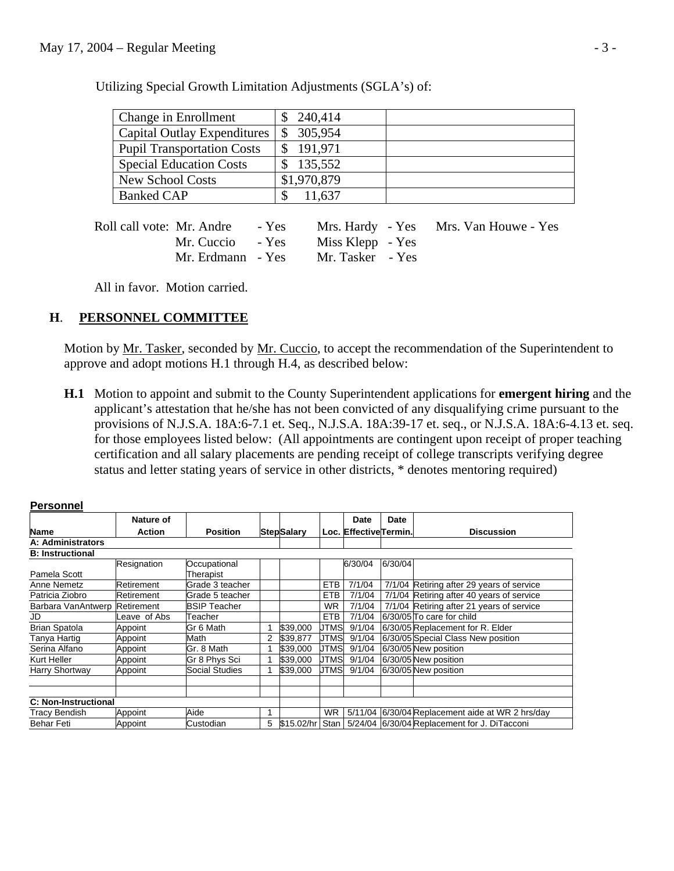| Change in Enrollment              | 240,414     |  |
|-----------------------------------|-------------|--|
| Capital Outlay Expenditures       | 305,954     |  |
| <b>Pupil Transportation Costs</b> | 191,971     |  |
| <b>Special Education Costs</b>    | 135,552     |  |
| <b>New School Costs</b>           | \$1,970,879 |  |
| <b>Banked CAP</b>                 | 11,637      |  |
|                                   |             |  |

Utilizing Special Growth Limitation Adjustments (SGLA's) of:

| Roll call vote: Mr. Andre - Yes |                  | Mrs. Hardy - Yes Mrs. Van Houwe - Yes |
|---------------------------------|------------------|---------------------------------------|
| Mr. Cuccio - Yes                | Miss Klepp - Yes |                                       |
| Mr. Erdmann - Yes               | Mr. Tasker - Yes |                                       |

All in favor. Motion carried.

# **H**. **PERSONNEL COMMITTEE**

**Personnel**

Motion by Mr. Tasker, seconded by Mr. Cuccio, to accept the recommendation of the Superintendent to approve and adopt motions H.1 through H.4, as described below:

 **H.1** Motion to appoint and submit to the County Superintendent applications for **emergent hiring** and the applicant's attestation that he/she has not been convicted of any disqualifying crime pursuant to the provisions of N.J.S.A. 18A:6-7.1 et. Seq., N.J.S.A. 18A:39-17 et. seq., or N.J.S.A. 18A:6-4.13 et. seq. for those employees listed below: (All appointments are contingent upon receipt of proper teaching certification and all salary placements are pending receipt of college transcripts verifying degree status and letter stating years of service in other districts, \* denotes mentoring required)

|                               | Nature of    |                     |   |                   |             | Date                  | Date    |                                              |
|-------------------------------|--------------|---------------------|---|-------------------|-------------|-----------------------|---------|----------------------------------------------|
| <b>Name</b>                   | Action       | <b>Position</b>     |   | <b>StepSalary</b> |             | Loc. EffectiveTermin. |         | <b>Discussion</b>                            |
| A: Administrators             |              |                     |   |                   |             |                       |         |                                              |
| <b>B: Instructional</b>       |              |                     |   |                   |             |                       |         |                                              |
|                               | Resignation  | Occupational        |   |                   |             | 6/30/04               | 6/30/04 |                                              |
| Pamela Scott                  |              | Therapist           |   |                   |             |                       |         |                                              |
| Anne Nemetz                   | Retirement   | Grade 3 teacher     |   |                   | <b>ETB</b>  | 7/1/04                |         | 7/1/04 Retiring after 29 years of service    |
| Patricia Ziobro               | Retirement   | Grade 5 teacher     |   |                   | <b>ETB</b>  | 7/1/04                |         | 7/1/04 Retiring after 40 years of service    |
| Barbara VanAntwerp Retirement |              | <b>BSIP Teacher</b> |   |                   | <b>WR</b>   | 7/1/04                |         | 7/1/04 Retiring after 21 years of service    |
| JD                            | Leave of Abs | Teacher             |   |                   | <b>ETB</b>  | 7/1/04                |         | 6/30/05 To care for child                    |
| <b>Brian Spatola</b>          | Appoint      | Gr 6 Math           |   | \$39,000          | <b>JTMS</b> | 9/1/04                |         | 6/30/05 Replacement for R. Elder             |
| Tanya Hartig                  | Appoint      | Math                | 2 | \$39,877          | <b>JTMS</b> | 9/1/04                |         | 6/30/05 Special Class New position           |
| Serina Alfano                 | Appoint      | Gr. 8 Math          |   | \$39,000          | <b>JTMS</b> | 9/1/04                |         | 6/30/05 New position                         |
| Kurt Heller                   | Appoint      | Gr 8 Phys Sci       |   | \$39,000          | <b>JTMS</b> | 9/1/04                |         | 6/30/05 New position                         |
| Harry Shortway                | Appoint      | Social Studies      |   | \$39,000          | <b>JTMS</b> | 9/1/04                |         | 6/30/05 New position                         |
|                               |              |                     |   |                   |             |                       |         |                                              |
|                               |              |                     |   |                   |             |                       |         |                                              |
| <b>C: Non-Instructional</b>   |              |                     |   |                   |             |                       |         |                                              |
| Tracy Bendish                 | Appoint      | Aide                | 1 |                   | <b>WR</b>   | 5/11/04               |         | 6/30/04 Replacement aide at WR 2 hrs/day     |
| <b>Behar Feti</b>             | Appoint      | Custodian           | 5 | \$15.02/hr Stan   |             |                       |         | 5/24/04 6/30/04 Replacement for J. DiTacconi |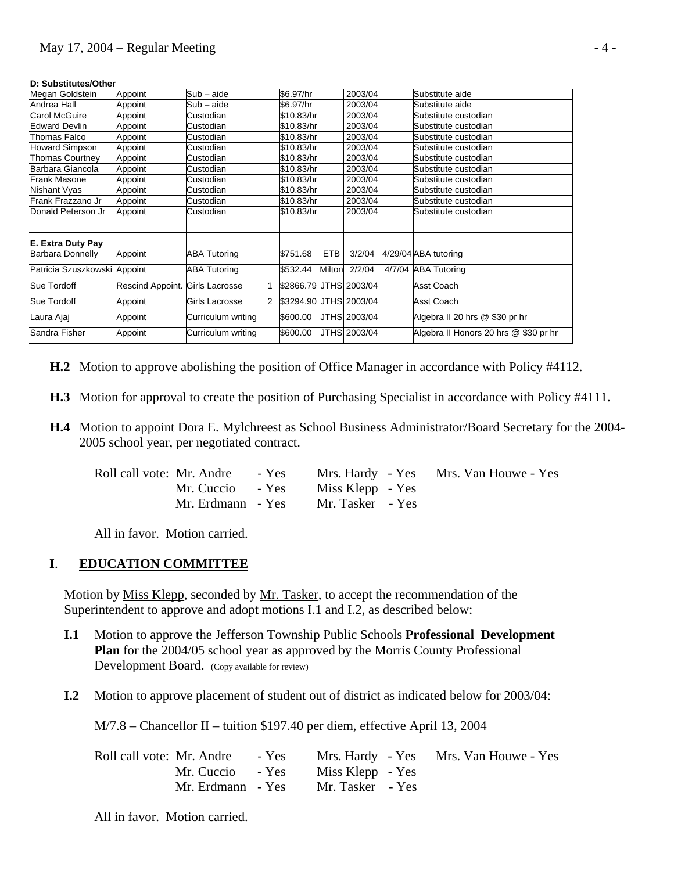| D: Substitutes/Other         |                                 |                     |                |                        |        |              |                                       |
|------------------------------|---------------------------------|---------------------|----------------|------------------------|--------|--------------|---------------------------------------|
| Megan Goldstein              | Appoint                         | Sub - aide          |                | \$6.97/hr              |        | 2003/04      | Substitute aide                       |
| Andrea Hall                  | Appoint                         | Sub - aide          |                | \$6.97/hr              |        | 2003/04      | Substitute aide                       |
| Carol McGuire                | Appoint                         | Custodian           |                | \$10.83/hr             |        | 2003/04      | Substitute custodian                  |
| <b>Edward Devlin</b>         | Appoint                         | Custodian           |                | \$10.83/hr             |        | 2003/04      | Substitute custodian                  |
| Thomas Falco                 | Appoint                         | Custodian           |                | \$10.83/hr             |        | 2003/04      | Substitute custodian                  |
| <b>Howard Simpson</b>        | Appoint                         | Custodian           |                | \$10.83/hr             |        | 2003/04      | Substitute custodian                  |
| Thomas Courtney              | Appoint                         | Custodian           |                | \$10.83/hr             |        | 2003/04      | Substitute custodian                  |
| Barbara Giancola             | Appoint                         | Custodian           |                | \$10.83/hr             |        | 2003/04      | Substitute custodian                  |
| Frank Masone                 | Appoint                         | Custodian           |                | \$10.83/hr             |        | 2003/04      | Substitute custodian                  |
| Nishant Vyas                 | Appoint                         | Custodian           |                | \$10.83/hr             |        | 2003/04      | Substitute custodian                  |
| Frank Frazzano Jr            | Appoint                         | Custodian           |                | \$10.83/hr             |        | 2003/04      | Substitute custodian                  |
| Donald Peterson Jr           | Appoint                         | Custodian           |                | \$10.83/hr             |        | 2003/04      | Substitute custodian                  |
|                              |                                 |                     |                |                        |        |              |                                       |
| E. Extra Duty Pay            |                                 |                     |                |                        |        |              |                                       |
| Barbara Donnelly             | Appoint                         | ABA Tutoring        |                | \$751.68               | ETB    | 3/2/04       | 4/29/04 ABA tutoring                  |
| Patricia Szuszkowski Appoint |                                 | <b>ABA Tutoring</b> |                | \$532.44               | Milton | 2/2/04       | 4/7/04 ABA Tutoring                   |
| Sue Tordoff                  | Rescind Appoint. Girls Lacrosse |                     | 1              | \$2866.79 JTHS 2003/04 |        |              | Asst Coach                            |
| Sue Tordoff                  | Appoint                         | Girls Lacrosse      | $\overline{2}$ | \$3294.90 JTHS 2003/04 |        |              | Asst Coach                            |
| Laura Ajaj                   | Appoint                         | Curriculum writing  |                | \$600.00               |        | JTHS 2003/04 | Algebra II 20 hrs @ \$30 pr hr        |
| Sandra Fisher                | Appoint                         | Curriculum writing  |                | \$600.00               |        | JTHS 2003/04 | Algebra II Honors 20 hrs @ \$30 pr hr |

#### **D: Substitutes/Other**

- **H.2** Motion to approve abolishing the position of Office Manager in accordance with Policy #4112.
- **H.3** Motion for approval to create the position of Purchasing Specialist in accordance with Policy #4111.
- **H.4** Motion to appoint Dora E. Mylchreest as School Business Administrator/Board Secretary for the 2004- 2005 school year, per negotiated contract.

| Roll call vote: Mr. Andre - Yes |                   |                  | Mrs. Hardy - Yes Mrs. Van Houwe - Yes |
|---------------------------------|-------------------|------------------|---------------------------------------|
|                                 | Mr. Cuccio - Yes  | Miss Klepp - Yes |                                       |
|                                 | Mr. Erdmann - Yes | Mr. Tasker - Yes |                                       |

All in favor. Motion carried.

#### **I**. **EDUCATION COMMITTEE**

Motion by Miss Klepp, seconded by Mr. Tasker, to accept the recommendation of the Superintendent to approve and adopt motions I.1 and I.2, as described below:

- **I.1** Motion to approve the Jefferson Township Public Schools **Professional Development Plan** for the 2004/05 school year as approved by the Morris County Professional Development Board. (Copy available for review)
- **I.2** Motion to approve placement of student out of district as indicated below for 2003/04:

M/7.8 – Chancellor II – tuition \$197.40 per diem, effective April 13, 2004

| Roll call vote: Mr. Andre - Yes |                  | Mrs. Hardy - Yes Mrs. Van Houwe - Yes |
|---------------------------------|------------------|---------------------------------------|
| Mr. Cuccio - Yes                | Miss Klepp - Yes |                                       |
| Mr. Erdmann - Yes               | Mr. Tasker - Yes |                                       |

All in favor. Motion carried.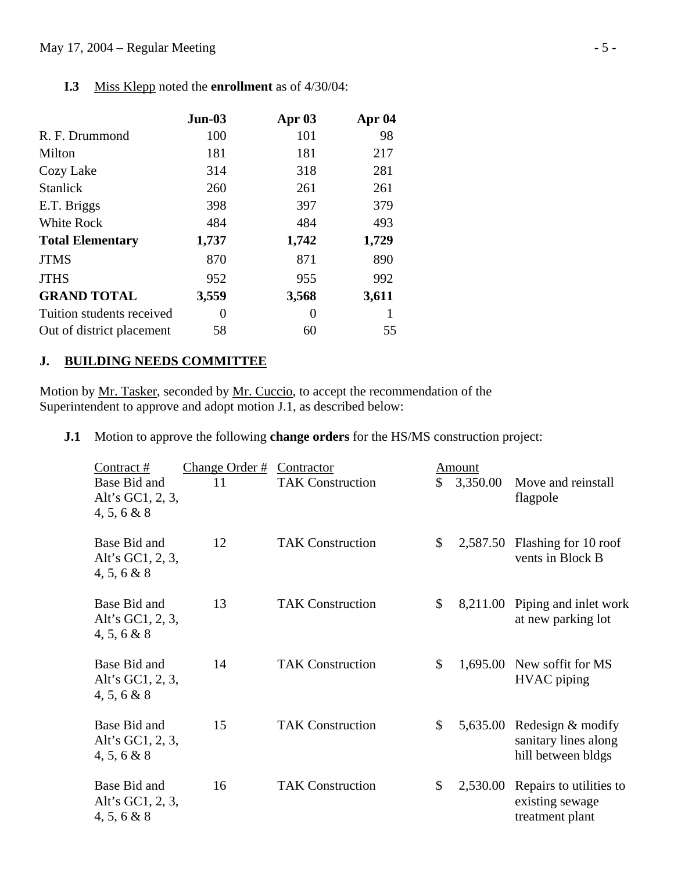### May 17, 2004 – Regular Meeting - 5 -

| $Jun-03$ | Apr $03$ | Apr 04 |
|----------|----------|--------|
| 100      | 101      | 98     |
| 181      | 181      | 217    |
| 314      | 318      | 281    |
| 260      | 261      | 261    |
| 398      | 397      | 379    |
| 484      | 484      | 493    |
| 1,737    | 1,742    | 1,729  |
| 870      | 871      | 890    |
| 952      | 955      | 992    |
| 3,559    | 3,568    | 3,611  |
| $\theta$ | $\Omega$ |        |
| 58       | 60       | 55     |
|          |          |        |

 **I.3** Miss Klepp noted the **enrollment** as of 4/30/04:

## **J. BUILDING NEEDS COMMITTEE**

Motion by Mr. Tasker, seconded by Mr. Cuccio, to accept the recommendation of the Superintendent to approve and adopt motion J.1, as described below:

**J.1** Motion to approve the following **change orders** for the HS/MS construction project:

| Contract #                                         | Change Order # | Contractor              |               | Amount   |                                                                 |
|----------------------------------------------------|----------------|-------------------------|---------------|----------|-----------------------------------------------------------------|
| Base Bid and<br>Alt's GC1, 2, 3,<br>4, 5, 6 & 8    | 11             | <b>TAK Construction</b> | $\mathcal{S}$ | 3,350.00 | Move and reinstall<br>flagpole                                  |
| Base Bid and<br>Alt's GC1, 2, 3,<br>4, 5, 6 & 8    | 12             | <b>TAK Construction</b> | \$            |          | 2,587.50 Flashing for 10 roof<br>vents in Block B               |
| Base Bid and<br>Alt's GC1, 2, 3,<br>4, 5, 6 & 8    | 13             | <b>TAK Construction</b> | $\mathcal{S}$ | 8,211.00 | Piping and inlet work<br>at new parking lot                     |
| Base Bid and<br>Alt's GC1, 2, 3,<br>4, 5, 6 & 8    | 14             | <b>TAK Construction</b> | \$            | 1,695.00 | New soffit for MS<br><b>HVAC</b> piping                         |
| Base Bid and<br>Alt's GC1, 2, 3,<br>4, 5, 6 & 8    | 15             | <b>TAK Construction</b> | \$            | 5,635.00 | Redesign & modify<br>sanitary lines along<br>hill between bldgs |
| Base Bid and<br>Alt's GC1, $2, 3$ ,<br>4, 5, 6 & 8 | 16             | <b>TAK Construction</b> | \$            | 2,530.00 | Repairs to utilities to<br>existing sewage<br>treatment plant   |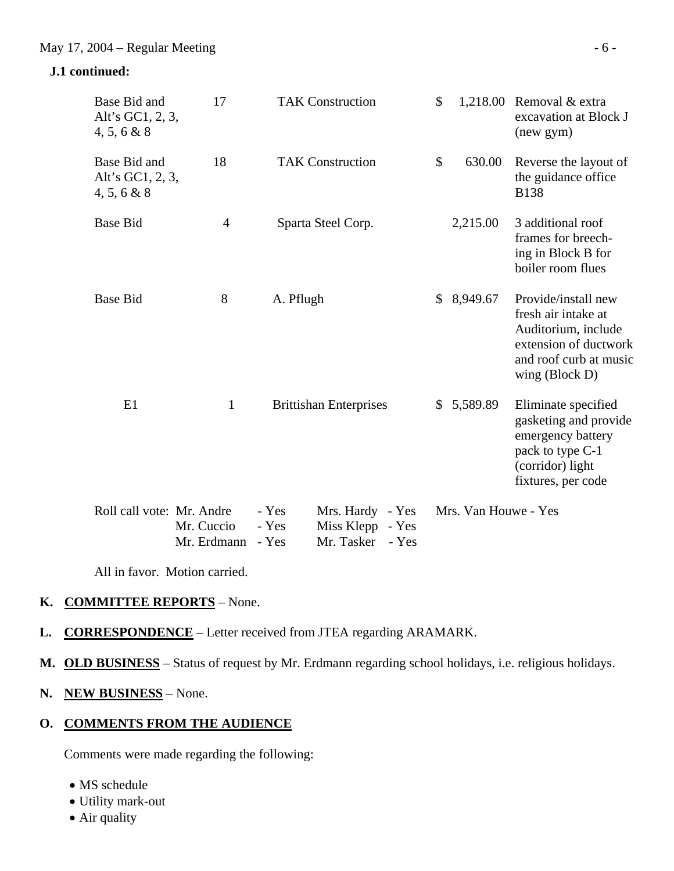# **J.1 continued:**

| Base Bid and<br>Alt's GC1, 2, 3,<br>4, 5, 6 & 8    | 17                        |                         | <b>TAK Construction</b>                                  | \$             |                      | 1,218.00 Removal $&$ extra<br>excavation at Block J<br>(new gym)                                                                         |
|----------------------------------------------------|---------------------------|-------------------------|----------------------------------------------------------|----------------|----------------------|------------------------------------------------------------------------------------------------------------------------------------------|
| Base Bid and<br>Alt's GC1, 2, 3,<br>$4, 5, 6 \& 8$ | 18                        |                         | <b>TAK Construction</b>                                  | \$             | 630.00               | Reverse the layout of<br>the guidance office<br><b>B138</b>                                                                              |
| <b>Base Bid</b>                                    | $\overline{4}$            |                         | Sparta Steel Corp.                                       |                | 2,215.00             | 3 additional roof<br>frames for breech-<br>ing in Block B for<br>boiler room flues                                                       |
| <b>Base Bid</b>                                    | 8                         | A. Pflugh               |                                                          | $\mathbb{S}^-$ | 8,949.67             | Provide/install new<br>fresh air intake at<br>Auditorium, include<br>extension of ductwork<br>and roof curb at music<br>wing $(Block D)$ |
| E1                                                 | $\mathbf{1}$              |                         | <b>Brittishan Enterprises</b>                            | \$             | 5,589.89             | Eliminate specified<br>gasketing and provide<br>emergency battery<br>pack to type C-1<br>(corridor) light<br>fixtures, per code          |
| Roll call vote: Mr. Andre                          | Mr. Cuccio<br>Mr. Erdmann | - Yes<br>- Yes<br>- Yes | Mrs. Hardy - Yes<br>Miss Klepp - Yes<br>Mr. Tasker - Yes |                | Mrs. Van Houwe - Yes |                                                                                                                                          |

All in favor. Motion carried.

## **K. COMMITTEE REPORTS** – None.

- **L. CORRESPONDENCE** Letter received from JTEA regarding ARAMARK.
- **M. OLD BUSINESS** Status of request by Mr. Erdmann regarding school holidays, i.e. religious holidays.
- **N. NEW BUSINESS** None.

# **O. COMMENTS FROM THE AUDIENCE**

Comments were made regarding the following:

- MS schedule
- Utility mark-out
- Air quality